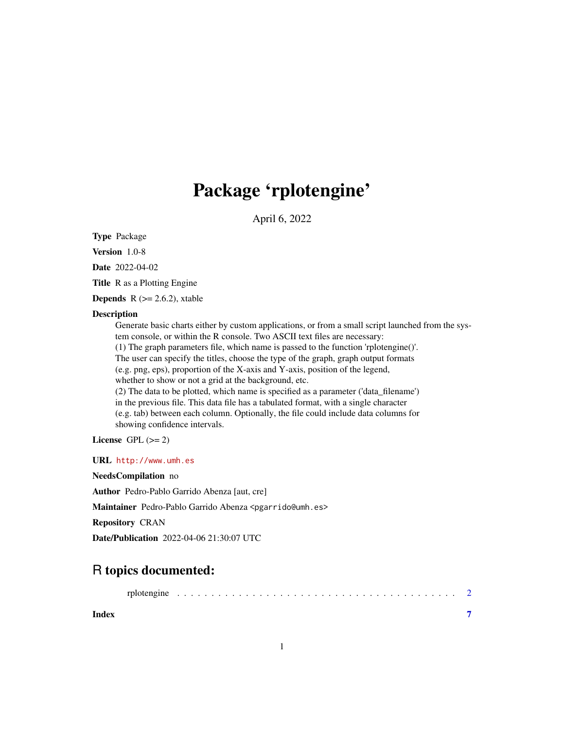## Package 'rplotengine'

April 6, 2022

Type Package

Version 1.0-8

Date 2022-04-02

Title R as a Plotting Engine

**Depends** R  $(>= 2.6.2)$ , xtable

#### Description

Generate basic charts either by custom applications, or from a small script launched from the system console, or within the R console. Two ASCII text files are necessary: (1) The graph parameters file, which name is passed to the function 'rplotengine()'. The user can specify the titles, choose the type of the graph, graph output formats (e.g. png, eps), proportion of the X-axis and Y-axis, position of the legend, whether to show or not a grid at the background, etc. (2) The data to be plotted, which name is specified as a parameter ('data\_filename') in the previous file. This data file has a tabulated format, with a single character (e.g. tab) between each column. Optionally, the file could include data columns for showing confidence intervals.

License GPL  $(>= 2)$ 

URL <http://www.umh.es>

NeedsCompilation no

Author Pedro-Pablo Garrido Abenza [aut, cre]

Maintainer Pedro-Pablo Garrido Abenza <pgarrido@umh.es>

Repository CRAN

Date/Publication 2022-04-06 21:30:07 UTC

### R topics documented:

**Index** [7](#page-6-0) **7**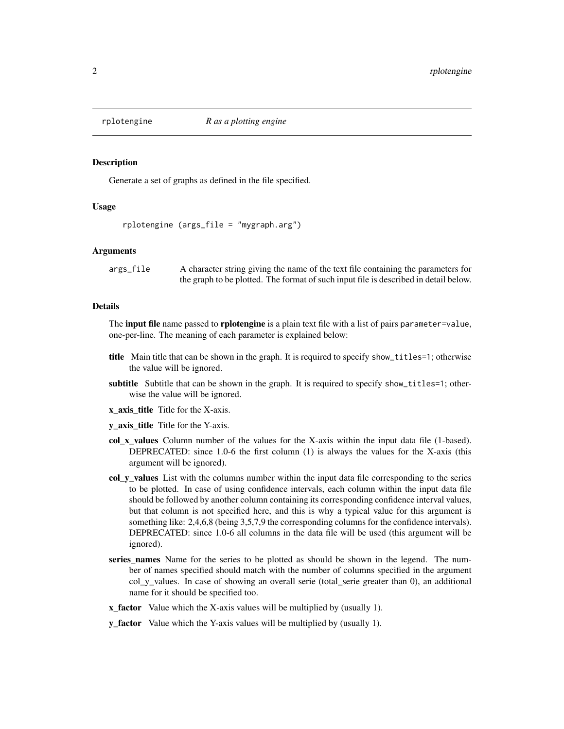<span id="page-1-0"></span>

#### Description

Generate a set of graphs as defined in the file specified.

#### Usage

```
rplotengine (args_file = "mygraph.arg")
```
#### Arguments

args\_file A character string giving the name of the text file containing the parameters for the graph to be plotted. The format of such input file is described in detail below.

#### Details

The **input file** name passed to **rplotengine** is a plain text file with a list of pairs parameter=value, one-per-line. The meaning of each parameter is explained below:

- title Main title that can be shown in the graph. It is required to specify show\_titles=1; otherwise the value will be ignored.
- subtitle Subtitle that can be shown in the graph. It is required to specify show\_titles=1; otherwise the value will be ignored.
- x\_axis\_title Title for the X-axis.
- y\_axis\_title Title for the Y-axis.
- col\_x\_values Column number of the values for the X-axis within the input data file (1-based). DEPRECATED: since 1.0-6 the first column (1) is always the values for the X-axis (this argument will be ignored).
- col y values List with the columns number within the input data file corresponding to the series to be plotted. In case of using confidence intervals, each column within the input data file should be followed by another column containing its corresponding confidence interval values, but that column is not specified here, and this is why a typical value for this argument is something like: 2,4,6,8 (being 3,5,7,9 the corresponding columns for the confidence intervals). DEPRECATED: since 1.0-6 all columns in the data file will be used (this argument will be ignored).
- series\_names Name for the series to be plotted as should be shown in the legend. The number of names specified should match with the number of columns specified in the argument col\_y\_values. In case of showing an overall serie (total\_serie greater than 0), an additional name for it should be specified too.
- **x\_factor** Value which the X-axis values will be multiplied by (usually 1).
- **y\_factor** Value which the Y-axis values will be multiplied by (usually 1).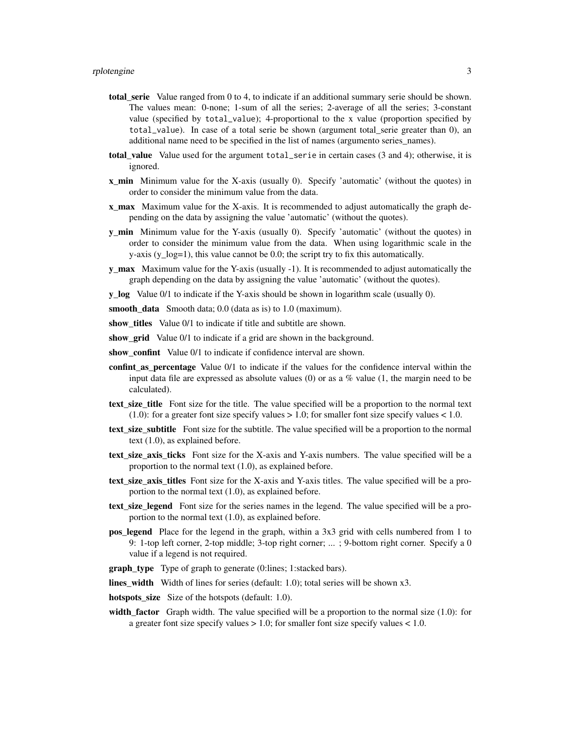- total\_serie Value ranged from 0 to 4, to indicate if an additional summary serie should be shown. The values mean: 0-none; 1-sum of all the series; 2-average of all the series; 3-constant value (specified by total\_value); 4-proportional to the x value (proportion specified by total\_value). In case of a total serie be shown (argument total\_serie greater than 0), an additional name need to be specified in the list of names (argumento series\_names).
- total value Value used for the argument total serie in certain cases  $(3 \text{ and } 4)$ ; otherwise, it is ignored.
- x\_min Minimum value for the X-axis (usually 0). Specify 'automatic' (without the quotes) in order to consider the minimum value from the data.
- x max Maximum value for the X-axis. It is recommended to adjust automatically the graph depending on the data by assigning the value 'automatic' (without the quotes).
- **y\_min** Minimum value for the Y-axis (usually 0). Specify 'automatic' (without the quotes) in order to consider the minimum value from the data. When using logarithmic scale in the y-axis (y\_log=1), this value cannot be 0.0; the script try to fix this automatically.
- **y\_max** Maximum value for the Y-axis (usually -1). It is recommended to adjust automatically the graph depending on the data by assigning the value 'automatic' (without the quotes).
- y\_log Value 0/1 to indicate if the Y-axis should be shown in logarithm scale (usually 0).
- smooth\_data Smooth data; 0.0 (data as is) to 1.0 (maximum).
- show titles Value 0/1 to indicate if title and subtitle are shown.
- show\_grid Value 0/1 to indicate if a grid are shown in the background.
- show confint Value 0/1 to indicate if confidence interval are shown.
- confint as percentage Value 0/1 to indicate if the values for the confidence interval within the input data file are expressed as absolute values  $(0)$  or as a % value  $(1,$  the margin need to be calculated).
- text\_size\_title Font size for the title. The value specified will be a proportion to the normal text (1.0): for a greater font size specify values  $> 1.0$ ; for smaller font size specify values  $< 1.0$ .
- text\_size\_subtitle Font size for the subtitle. The value specified will be a proportion to the normal text (1.0), as explained before.
- text\_size\_axis\_ticks Font size for the X-axis and Y-axis numbers. The value specified will be a proportion to the normal text (1.0), as explained before.
- text\_size\_axis\_titles Font size for the X-axis and Y-axis titles. The value specified will be a proportion to the normal text (1.0), as explained before.
- text\_size\_legend Font size for the series names in the legend. The value specified will be a proportion to the normal text (1.0), as explained before.
- pos\_legend Place for the legend in the graph, within a 3x3 grid with cells numbered from 1 to 9: 1-top left corner, 2-top middle; 3-top right corner; ... ; 9-bottom right corner. Specify a 0 value if a legend is not required.
- graph\_type Type of graph to generate (0:lines; 1:stacked bars).
- lines width Width of lines for series (default: 1.0); total series will be shown x3.
- hotspots\_size Size of the hotspots (default: 1.0).
- width\_factor Graph width. The value specified will be a proportion to the normal size  $(1.0)$ : for a greater font size specify values > 1.0; for smaller font size specify values < 1.0.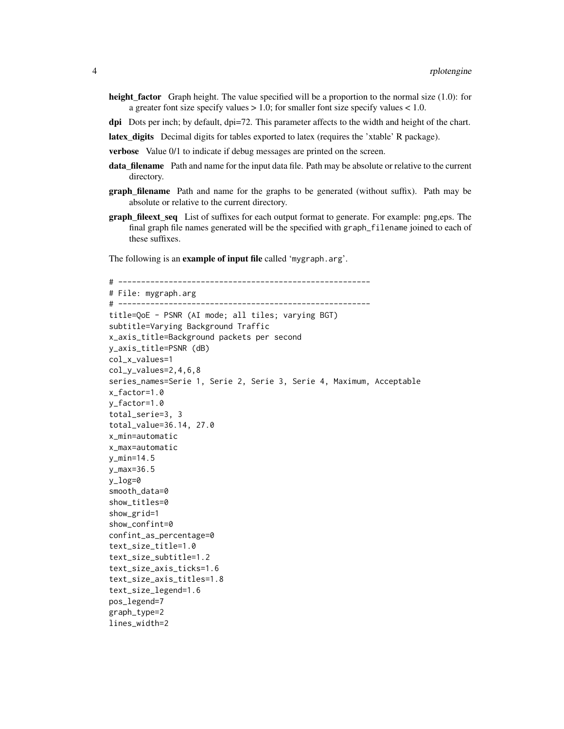- height\_factor Graph height. The value specified will be a proportion to the normal size (1.0): for a greater font size specify values  $> 1.0$ ; for smaller font size specify values  $< 1.0$ .
- dpi Dots per inch; by default, dpi=72. This parameter affects to the width and height of the chart.
- latex\_digits Decimal digits for tables exported to latex (requires the 'xtable' R package).
- verbose Value 0/1 to indicate if debug messages are printed on the screen.
- data\_filename Path and name for the input data file. Path may be absolute or relative to the current directory.
- **graph\_filename** Path and name for the graphs to be generated (without suffix). Path may be absolute or relative to the current directory.
- graph\_fileext\_seq List of suffixes for each output format to generate. For example: png,eps. The final graph file names generated will be the specified with graph\_filename joined to each of these suffixes.

The following is an example of input file called 'mygraph.arg'.

```
# -------------------------------------------------------
# File: mygraph.arg
# -------------------------------------------------------
title=QoE - PSNR (AI mode; all tiles; varying BGT)
subtitle=Varying Background Traffic
x_axis_title=Background packets per second
y_axis_title=PSNR (dB)
col_x_values=1
col_y_values=2,4,6,8
series_names=Serie 1, Serie 2, Serie 3, Serie 4, Maximum, Acceptable
x_factor=1.0
y_factor=1.0
total_serie=3, 3
total_value=36.14, 27.0
x_min=automatic
x_max=automatic
y_min=14.5
y_max=36.5
y_log=0
smooth_data=0
show_titles=0
show_grid=1
show_confint=0
confint_as_percentage=0
text_size_title=1.0
text_size_subtitle=1.2
text_size_axis_ticks=1.6
text_size_axis_titles=1.8
text_size_legend=1.6
pos_legend=7
graph_type=2
lines_width=2
```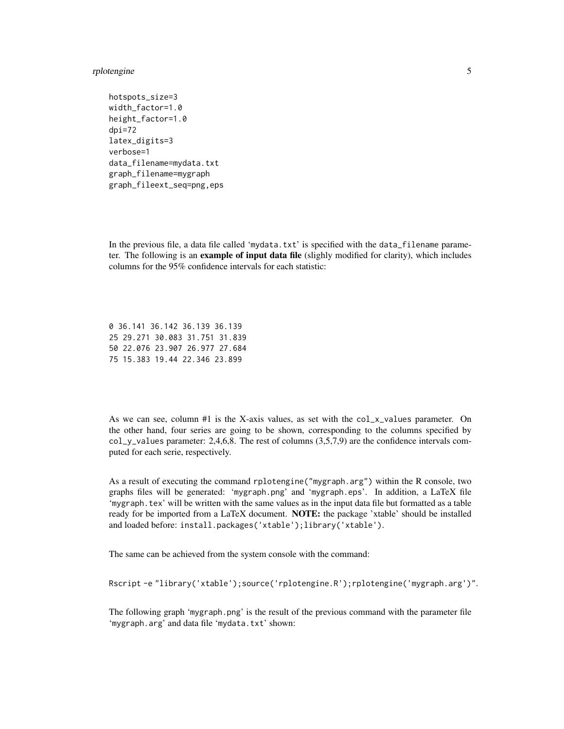#### rplotengine 5

```
hotspots_size=3
width_factor=1.0
height_factor=1.0
dpi=72latex_digits=3
verbose=1
data_filename=mydata.txt
graph_filename=mygraph
graph_fileext_seq=png,eps
```
In the previous file, a data file called 'mydata.txt' is specified with the  $data_f$  filename parameter. The following is an example of input data file (slighly modified for clarity), which includes columns for the 95% confidence intervals for each statistic:

0 36.141 36.142 36.139 36.139 25 29.271 30.083 31.751 31.839 50 22.076 23.907 26.977 27.684 75 15.383 19.44 22.346 23.899

As we can see, column  $#1$  is the X-axis values, as set with the col\_x\_values parameter. On the other hand, four series are going to be shown, corresponding to the columns specified by col\_y\_values parameter: 2,4,6,8. The rest of columns (3,5,7,9) are the confidence intervals computed for each serie, respectively.

As a result of executing the command rplotengine("mygraph.arg") within the R console, two graphs files will be generated: 'mygraph.png' and 'mygraph.eps'. In addition, a LaTeX file 'mygraph.tex' will be written with the same values as in the input data file but formatted as a table ready for be imported from a LaTeX document. NOTE: the package 'xtable' should be installed and loaded before: install.packages('xtable');library('xtable').

The same can be achieved from the system console with the command:

Rscript -e "library('xtable');source('rplotengine.R');rplotengine('mygraph.arg')".

The following graph 'mygraph.png' is the result of the previous command with the parameter file 'mygraph.arg' and data file 'mydata.txt' shown: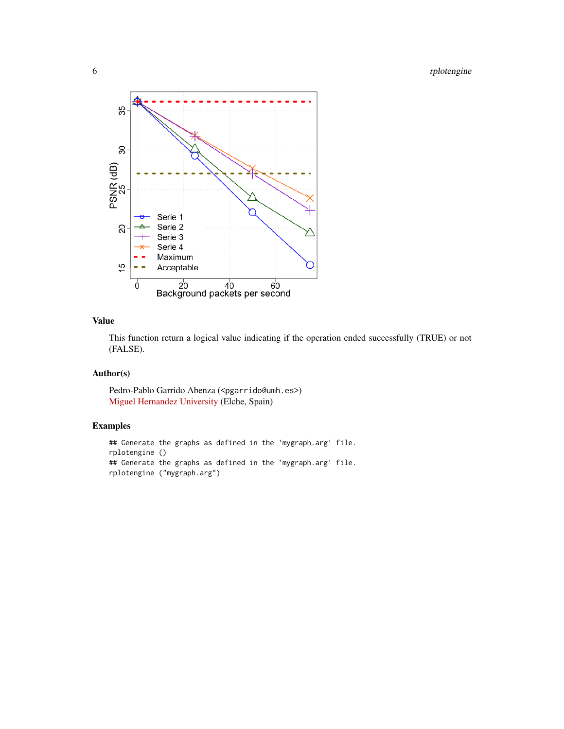

#### Value

This function return a logical value indicating if the operation ended successfully (TRUE) or not (FALSE).

#### Author(s)

Pedro-Pablo Garrido Abenza (<pgarrido@umh.es>) [Miguel Hernandez University](http://www.umh.es) (Elche, Spain)

#### Examples

```
## Generate the graphs as defined in the 'mygraph.arg' file.
rplotengine ()
## Generate the graphs as defined in the 'mygraph.arg' file.
rplotengine ("mygraph.arg")
```